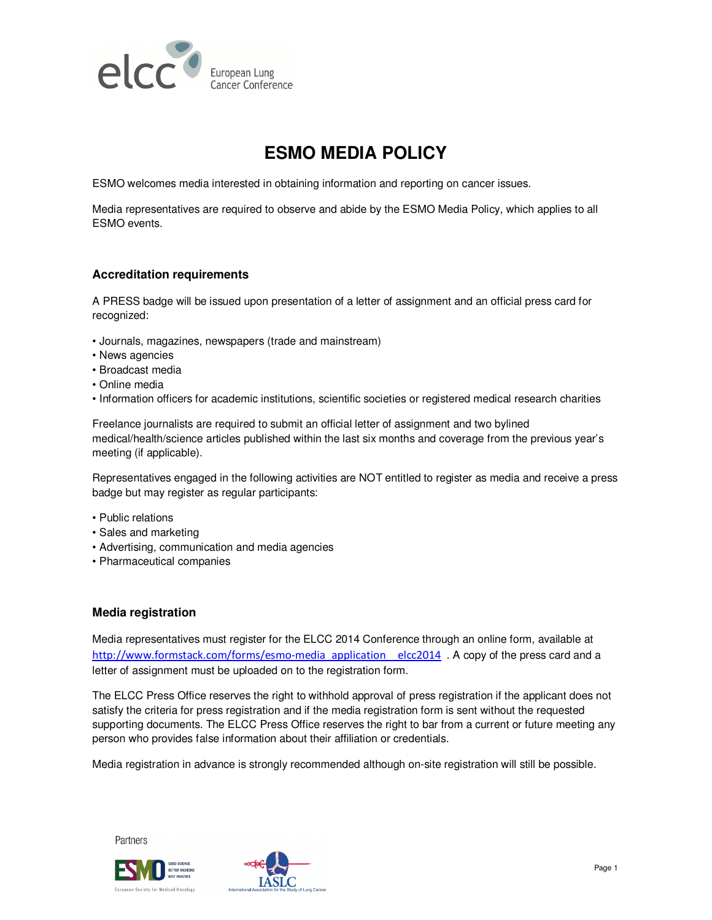

# **ESMO MEDIA POLICY**

ESMO welcomes media interested in obtaining information and reporting on cancer issues.

Media representatives are required to observe and abide by the ESMO Media Policy, which applies to all ESMO events.

## **Accreditation requirements**

A PRESS badge will be issued upon presentation of a letter of assignment and an official press card for recognized:

- Journals, magazines, newspapers (trade and mainstream)
- News agencies
- Broadcast media
- Online media
- Information officers for academic institutions, scientific societies or registered medical research charities

Freelance journalists are required to submit an official letter of assignment and two bylined medical/health/science articles published within the last six months and coverage from the previous year's meeting (if applicable).

Representatives engaged in the following activities are NOT entitled to register as media and receive a press badge but may register as regular participants:

- Public relations
- Sales and marketing
- Advertising, communication and media agencies
- Pharmaceutical companies

### **Media registration**

Media representatives must register for the ELCC 2014 Conference through an online form, available at http://www.formstack.com/forms/esmo-media\_application\_\_elcc2014 . A copy of the press card and a letter of assignment must be uploaded on to the registration form.

The ELCC Press Office reserves the right to withhold approval of press registration if the applicant does not satisfy the criteria for press registration and if the media registration form is sent without the requested supporting documents. The ELCC Press Office reserves the right to bar from a current or future meeting any person who provides false information about their affiliation or credentials.

Media registration in advance is strongly recommended although on-site registration will still be possible.

Partners